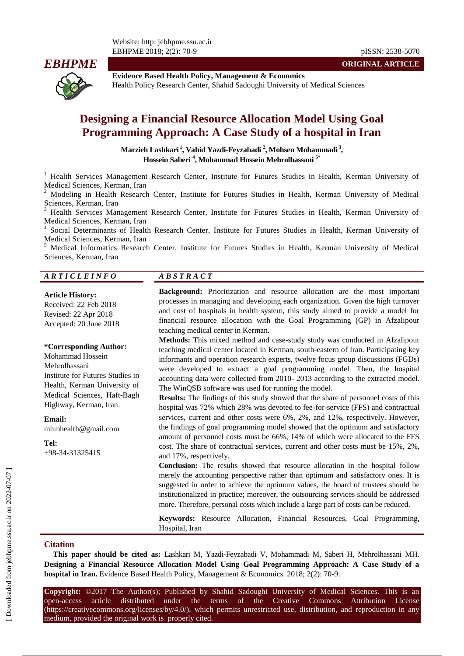Website: http: jebhpme.ssu.ac.ir EBHPME 2018; 2(2): 70-9 pISSN: 2538-5070



**Evidence Based Health Policy, Management & Economics** Health Policy Research Center, Shahid Sadoughi University of Medical Sciences

# **Designing a Financial Resource Allocation Model Using Goal Programming Approach: A Case Study of a hospital in Iran**

**Marzieh Lashkari <sup>1</sup> , Vahid Yazdi-Feyzabadi <sup>2</sup> , Mohsen Mohammadi <sup>3</sup> , Hossein Saberi <sup>4</sup> , Mohammad Hossein Mehrolhassani 5\***

<sup>1</sup> Health Services Management Research Center, Institute for Futures Studies in Health, Kerman University of Medical Sciences, Kerman, Iran

<sup>2</sup> Modeling in Health Research Center, Institute for Futures Studies in Health, Kerman University of Medical Sciences, Kerman, Iran

<sup>3</sup> Health Services Management Research Center, Institute for Futures Studies in Health, Kerman University of Medical Sciences, Kerman, Iran

4 Social Determinants of Health Research Center, Institute for Futures Studies in Health, Kerman University of Medical Sciences, Kerman, Iran

<sup>5</sup> Medical Informatics Research Center, Institute for Futures Studies in Health, Kerman University of Medical Sciences, Kerman, Iran

#### *A R T I C L E I N F O A B S T R A C T*

#### **Article History:**

Received: 22 Feb 2018 Revised: 22 Apr 2018 Accepted: 20 June 2018

#### **\*Corresponding Author:**

Mohammad Hossein Mehrolhassani Institute for Futures Studies in Health, Kerman University of Medical Sciences, Haft-Bagh Highway, Kerman, Iran.

**Email:**

mhmhealth@gmail.com

**Tel:** +98-34-31325415

**Background:** Prioritization and resource allocation are the most important processes in managing and developing each organization. Given the high turnover and cost of hospitals in health system, this study aimed to provide a model for financial resource allocation with the Goal Programming (GP) in Afzalipour teaching medical center in Kerman.

**Methods:** This mixed method and case-study study was conducted in Afzalipour teaching medical center located in Kerman, south-eastern of Iran. Participating key informants and operation research experts, twelve focus group discussions (FGDs) were developed to extract a goal programming model. Then, the hospital accounting data were collected from 2010- 2013 according to the extracted model. The WinQSB software was used for running the model.

**Results:** The findings of this study showed that the share of personnel costs of this hospital was 72% which 28% was devoted to fee-for-service (FFS) and contractual services, current and other costs were 6%, 2%, and 12%, respectively. However, the findings of goal programming model showed that the optimum and satisfactory amount of personnel costs must be 66%, 14% of which were allocated to the FFS cost. The share of contractual services, current and other costs must be 15%, 2%, and 17%, respectively.

**Conclusion:** The results showed that resource allocation in the hospital follow merely the accounting perspective rather than optimum and satisfactory ones. It is suggested in order to achieve the optimum values, the board of trustees should be institutionalized in practice; moreover, the outsourcing services should be addressed more. Therefore, personal costs which include a large part of costs can be reduced.

**Keywords:** Resource Allocation, Financial Resources, Goal Programming, Hospital, Iran

#### **Citation**

**This paper should be cited as:** Lashkari M, Yazdi-Feyzabadi V, Mohammadi M, Saberi H, Mehrolhassani MH. **Designing a Financial Resource Allocation Model Using Goal Programming Approach: A Case Study of a hospital in Iran.** Evidence Based Health Policy, Management & Economics. 2018; 2(2): 70-9.

**Copyright:** ©2017 The Author(s); Published by Shahid Sadoughi University of Medical Sciences. This is an open-access article distributed under the terms of the Creative Commons Attribution License (https://creativecommons.org/licenses/by/4.0/), which permits unrestricted use, distribution, and reproduction in any medium, provided the original work is properly cited.

**ORIGINAL ARTICLE**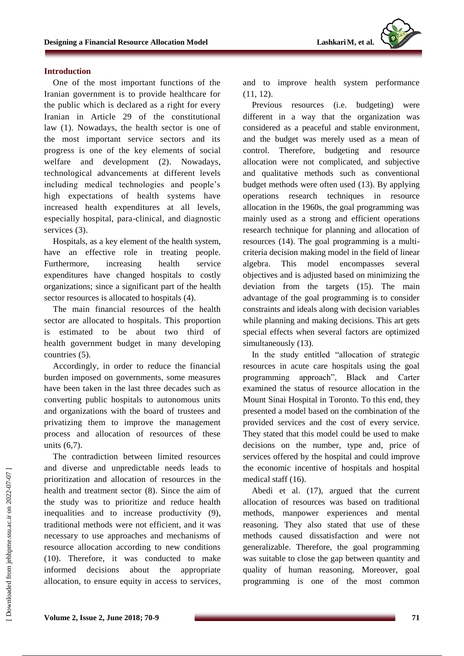#### **Introduction**

One of the most important functions of the Iranian government is to provide healthcare for the public which is declared as a right for every Iranian in Article 29 of the constitutional law (1). Nowadays, the health sector is one of the most important service sectors and its progress is one of the key elements of social welfare and development (2). Nowadays, technological advancements at different levels including medical technologies and people's high expectations of health systems have increased health expenditures at all levels, especially hospital, para-clinical, and diagnostic services (3).

Hospitals, as a key element of the health system, have an effective role in treating people. Furthermore, increasing health service expenditures have changed hospitals to costly organizations; since a significant part of the health sector resources is allocated to hospitals (4).

The main financial resources of the health sector are allocated to hospitals. This proportion is estimated to be about two third of health government budget in many developing countries (5).

Accordingly, in order to reduce the financial burden imposed on governments, some measures have been taken in the last three decades such as converting public hospitals to autonomous units and organizations with the board of trustees and privatizing them to improve the management process and allocation of resources of these units (6,7).

The contradiction between limited resources and diverse and unpredictable needs leads to prioritization and allocation of resources in the health and treatment sector (8). Since the aim of the study was to prioritize and reduce health inequalities and to increase productivity (9), traditional methods were not efficient, and it was necessary to use approaches and mechanisms of resource allocation according to new conditions (10). Therefore, it was conducted to make informed decisions about the appropriate allocation, to ensure equity in access to services,

and to improve health system performance (11, 12).

Previous resources (i.e. budgeting) were different in a way that the organization was considered as a peaceful and stable environment, and the budget was merely used as a mean of control. Therefore, budgeting and resource allocation were not complicated, and subjective and qualitative methods such as conventional budget methods were often used (13). By applying operations research techniques in resource allocation in the 1960s, the goal programming was mainly used as a strong and efficient operations research technique for planning and allocation of resources (14). The goal programming is a multicriteria decision making model in the field of linear algebra. This model encompasses several objectives and is adjusted based on minimizing the deviation from the targets (15). The main advantage of the goal programming is to consider constraints and ideals along with decision variables while planning and making decisions. This art gets special effects when several factors are optimized simultaneously (13).

In the study entitled "allocation of strategic resources in acute care hospitals using the goal programming approach", Black and Carter examined the status of resource allocation in the Mount Sinai Hospital in Toronto. To this end, they presented a model based on the combination of the provided services and the cost of every service. They stated that this model could be used to make decisions on the number, type and, price of services offered by the hospital and could improve the economic incentive of hospitals and hospital medical staff (16).

Abedi et al. (17), argued that the current allocation of resources was based on traditional methods, manpower experiences and mental reasoning. They also stated that use of these methods caused dissatisfaction and were not generalizable. Therefore, the goal programming was suitable to close the gap between quantity and quality of human reasoning. Moreover, goal programming is one of the most common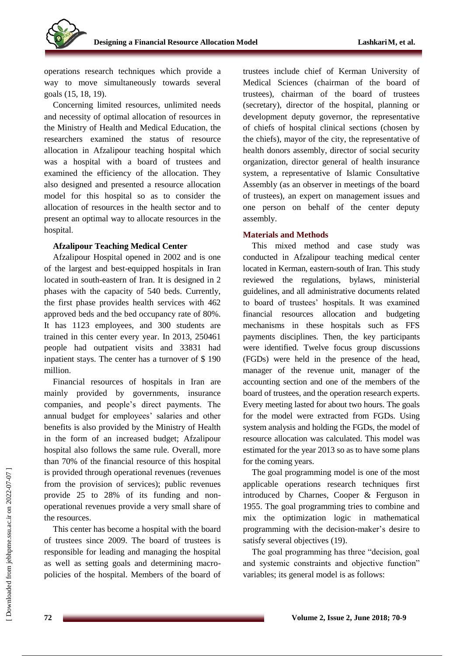

operations research techniques which provide a way to move simultaneously towards several goals (15, 18, 19).

Concerning limited resources, unlimited needs and necessity of optimal allocation of resources in the Ministry of Health and Medical Education, the researchers examined the status of resource allocation in Afzalipour teaching hospital which was a hospital with a board of trustees and examined the efficiency of the allocation. They also designed and presented a resource allocation model for this hospital so as to consider the allocation of resources in the health sector and to present an optimal way to allocate resources in the hospital.

#### **Afzalipour Teaching Medical Center**

Afzalipour Hospital opened in 2002 and is one of the largest and best-equipped hospitals in Iran located in south-eastern of Iran. It is designed in 2 phases with the capacity of 540 beds. Currently, the first phase provides health services with 462 approved beds and the bed occupancy rate of 80%. It has 1123 employees, and 300 students are trained in this center every year. In 2013, 250461 people had outpatient visits and 33831 had inpatient stays. The center has a turnover of \$ 190 million.

Financial resources of hospitals in Iran are mainly provided by governments, insurance companies, and people's direct payments. The annual budget for employees' salaries and other benefits is also provided by the Ministry of Health in the form of an increased budget; Afzalipour hospital also follows the same rule. Overall, more than 70% of the financial resource of this hospital is provided through operational revenues (revenues from the provision of services); public revenues provide 25 to 28% of its funding and nonoperational revenues provide a very small share of the resources.

This center has become a hospital with the board of trustees since 2009. The board of trustees is responsible for leading and managing the hospital as well as setting goals and determining macropolicies of the hospital. Members of the board of trustees include chief of Kerman University of Medical Sciences (chairman of the board of trustees), chairman of the board of trustees (secretary), director of the hospital, planning or development deputy governor, the representative of chiefs of hospital clinical sections (chosen by the chiefs), mayor of the city, the representative of health donors assembly, director of social security organization, director general of health insurance system, a representative of Islamic Consultative Assembly (as an observer in meetings of the board of trustees), an expert on management issues and one person on behalf of the center deputy assembly.

## **Materials and Methods**

This mixed method and case study was conducted in Afzalipour teaching medical center located in Kerman, eastern-south of Iran. This study reviewed the regulations, bylaws, ministerial guidelines, and all administrative documents related to board of trustees' hospitals. It was examined financial resources allocation and budgeting mechanisms in these hospitals such as FFS payments disciplines. Then, the key participants were identified. Twelve focus group discussions (FGDs) were held in the presence of the head, manager of the revenue unit, manager of the accounting section and one of the members of the board of trustees, and the operation research experts. Every meeting lasted for about two hours. The goals for the model were extracted from FGDs. Using system analysis and holding the FGDs, the model of resource allocation was calculated. This model was estimated for the year 2013 so as to have some plans for the coming years.

The goal programming model is one of the most applicable operations research techniques first introduced by Charnes, Cooper & Ferguson in 1955. The goal programming tries to combine and mix the optimization logic in mathematical programming with the decision-maker's desire to satisfy several objectives (19).

The goal programming has three "decision, goal and systemic constraints and objective function" variables; its general model is as follows: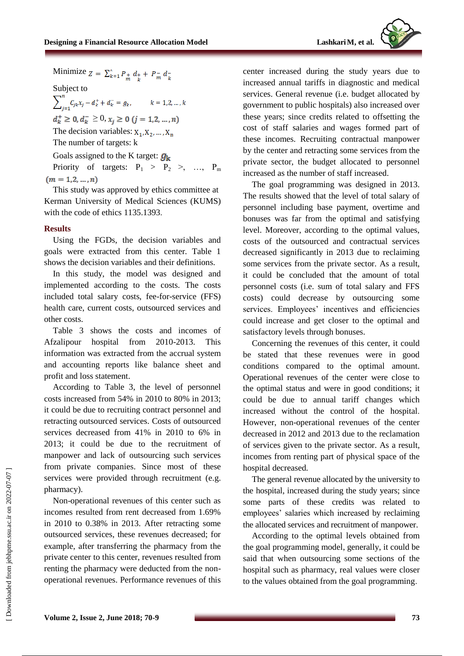

Minimize  $Z = \sum_{k=1}^{x} P_{+} d_{+} + P_{m} d_{+}$ 

Subject to<br>  $\sum_{i=1}^{n} C_{jk} x_j - d_k^+ + d_k^- = g_k, \qquad k = 1, 2, ..., k$ 

 $d_k^+ \geq 0, d_k^- \geq 0, x_i \geq 0$   $(j = 1, 2, ..., n)$ 

The decision variables:  $X_1, X_2, ..., X_n$ 

The number of targets: k

Goals assigned to the K target:  $g_k$ 

Priority of targets:  $P_1 > P_2 >$ , ...,  $P_m$  $(m = 1, 2, ..., n)$ 

This study was approved by ethics committee at Kerman University of Medical Sciences (KUMS) with the code of ethics 1135.1393.

#### **Results**

Using the FGDs, the decision variables and goals were extracted from this center. Table 1 shows the decision variables and their definitions.

In this study, the model was designed and implemented according to the costs. The costs included total salary costs, fee-for-service (FFS) health care, current costs, outsourced services and other costs.

Table 3 shows the costs and incomes of Afzalipour hospital from 2010-2013. This information was extracted from the accrual system and accounting reports like balance sheet and profit and loss statement.

According to Table 3, the level of personnel costs increased from 54% in 2010 to 80% in 2013; it could be due to recruiting contract personnel and retracting outsourced services. Costs of outsourced services decreased from 41% in 2010 to 6% in 2013; it could be due to the recruitment of manpower and lack of outsourcing such services from private companies. Since most of these services were provided through recruitment (e.g. pharmacy).

Non-operational revenues of this center such as incomes resulted from rent decreased from 1.69% in 2010 to 0.38% in 2013. After retracting some outsourced services, these revenues decreased; for example, after transferring the pharmacy from the private center to this center, revenues resulted from renting the pharmacy were deducted from the nonoperational revenues. Performance revenues of this center increased during the study years due to increased annual tariffs in diagnostic and medical services. General revenue (i.e. budget allocated by government to public hospitals) also increased over these years; since credits related to offsetting the cost of staff salaries and wages formed part of these incomes. Recruiting contractual manpower by the center and retracting some services from the private sector, the budget allocated to personnel increased as the number of staff increased.

The goal programming was designed in 2013. The results showed that the level of total salary of personnel including base payment, overtime and bonuses was far from the optimal and satisfying level. Moreover, according to the optimal values, costs of the outsourced and contractual services decreased significantly in 2013 due to reclaiming some services from the private sector. As a result, it could be concluded that the amount of total personnel costs (i.e. sum of total salary and FFS costs) could decrease by outsourcing some services. Employees' incentives and efficiencies could increase and get closer to the optimal and satisfactory levels through bonuses.

Concerning the revenues of this center, it could be stated that these revenues were in good conditions compared to the optimal amount. Operational revenues of the center were close to the optimal status and were in good conditions; it could be due to annual tariff changes which increased without the control of the hospital. However, non-operational revenues of the center decreased in 2012 and 2013 due to the reclamation of services given to the private sector. As a result, incomes from renting part of physical space of the hospital decreased.

The general revenue allocated by the university to the hospital, increased during the study years; since some parts of these credits was related to employees' salaries which increased by reclaiming the allocated services and recruitment of manpower.

According to the optimal levels obtained from the goal programming model, generally, it could be said that when outsourcing some sections of the hospital such as pharmacy, real values were closer to the values obtained from the goal programming.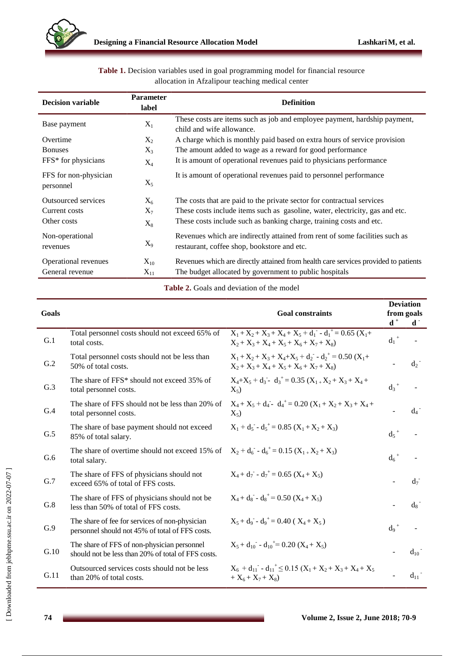

**Table 1.** Decision variables used in goal programming model for financial resource allocation in Afzalipour teaching medical center

| <b>Decision variable</b>           | <b>Parameter</b><br>label | <b>Definition</b>                                                                                                          |  |  |  |  |
|------------------------------------|---------------------------|----------------------------------------------------------------------------------------------------------------------------|--|--|--|--|
| Base payment                       | $X_1$                     | These costs are items such as job and employee payment, hardship payment,<br>child and wife allowance.                     |  |  |  |  |
| Overtime                           | $X_2$                     | A charge which is monthly paid based on extra hours of service provision                                                   |  |  |  |  |
| <b>Bonuses</b>                     | $X_3$                     | The amount added to wage as a reward for good performance                                                                  |  |  |  |  |
| FFS* for physicians                | $X_4$                     | It is amount of operational revenues paid to physicians performance                                                        |  |  |  |  |
| FFS for non-physician<br>personnel | $X_5$                     | It is amount of operational revenues paid to personnel performance                                                         |  |  |  |  |
| Outsourced services                | $X_6$                     | The costs that are paid to the private sector for contractual services                                                     |  |  |  |  |
| Current costs                      | $X_7$                     | These costs include items such as gasoline, water, electricity, gas and etc.                                               |  |  |  |  |
| Other costs                        | $X_8$                     | These costs include such as banking charge, training costs and etc.                                                        |  |  |  |  |
| Non-operational<br>revenues        | $X_9$                     | Revenues which are indirectly attained from rent of some facilities such as<br>restaurant, coffee shop, bookstore and etc. |  |  |  |  |
| Operational revenues               | $X_{10}$                  | Revenues which are directly attained from health care services provided to patients                                        |  |  |  |  |
| General revenue                    | $X_{11}$                  | The budget allocated by government to public hospitals                                                                     |  |  |  |  |

**Table 2.** Goals and deviation of the model

| Goals |                                                                                                              | <b>Goal constraints</b>                                                                                           | <b>Deviation</b><br>from goals<br>$\mathbf{d}^+$<br>$\mathbf{d}$ . |          |
|-------|--------------------------------------------------------------------------------------------------------------|-------------------------------------------------------------------------------------------------------------------|--------------------------------------------------------------------|----------|
| G.1   | Total personnel costs should not exceed 65% of<br>total costs.                                               | $X_1 + X_2 + X_3 + X_4 + X_5 + d_1 - d_1^+ = 0.65$ (X <sub>1</sub> +<br>$X_2 + X_3 + X_4 + X_5 + X_6 + X_7 + X_8$ | $d_1$ <sup>+</sup>                                                 |          |
| G.2   | Total personnel costs should not be less than<br>50% of total costs.                                         | $X_1 + X_2 + X_3 + X_4 + X_5 + d_2 - d_2^+ = 0.50$ (X <sub>1</sub> +<br>$X_2 + X_3 + X_4 + X_5 + X_6 + X_7 + X_8$ |                                                                    | $d_2$    |
| G.3   | The share of FFS* should not exceed 35% of<br>total personnel costs.                                         | $X_4+X_5+d_3$ - $d_3^+=0.35(X_{1+}X_2+X_3+X_4+$<br>$X_5$                                                          | $d_3$ <sup>+</sup>                                                 |          |
| G.4   | The share of FFS should not be less than 20% of<br>total personnel costs.                                    | $X_4 + X_5 + d_4$ - $d_4^+ = 0.20 (X_1 + X_2 + X_3 + X_4 +$<br>$X_5$                                              |                                                                    | $d_4$    |
| G.5   | The share of base payment should not exceed<br>85% of total salary.                                          | $X_1 + d_5 - d_5^+ = 0.85$ $(X_1 + X_2 + X_3)$                                                                    | $d_5$ <sup>+</sup>                                                 |          |
| G.6   | The share of overtime should not exceed 15% of $X_2 + d_6 - d_6^+ = 0.15 (X_1 + X_2 + X_3)$<br>total salary. |                                                                                                                   | $d_6$ <sup>+</sup>                                                 |          |
| G.7   | The share of FFS of physicians should not<br>exceed 65% of total of FFS costs.                               | $X_4 + d_7 - d_7^+ = 0.65$ $(X_4 + X_5)$                                                                          |                                                                    | $d_7$    |
| G.8   | The share of FFS of physicians should not be<br>less than 50% of total of FFS costs.                         | $X_4 + d_8 - d_8 = 0.50$ $(X_4 + X_5)$                                                                            |                                                                    | $d_8$    |
| G.9   | The share of fee for services of non-physician<br>personnel should not 45% of total of FFS costs.            | $X_5 + d_0 - d_0^+ = 0.40$ ( $X_4 + X_5$ )                                                                        | $d_{\mathrm{o}}$ <sup>+</sup>                                      |          |
| G.10  | The share of FFS of non-physician personnel<br>should not be less than 20% of total of FFS costs.            | $X_5 + d_{10} - d_{10} = 0.20$ $(X_4 + X_5)$                                                                      |                                                                    | $d_{10}$ |
| G.11  | Outsourced services costs should not be less<br>than 20% of total costs.                                     | $X_6 + d_{11} - d_{11}^+ \le 0.15 (X_1 + X_2 + X_3 + X_4 + X_5)$<br>+ $X_6 + X_7 + X_8$                           |                                                                    | $d_{11}$ |

 $\overline{1}$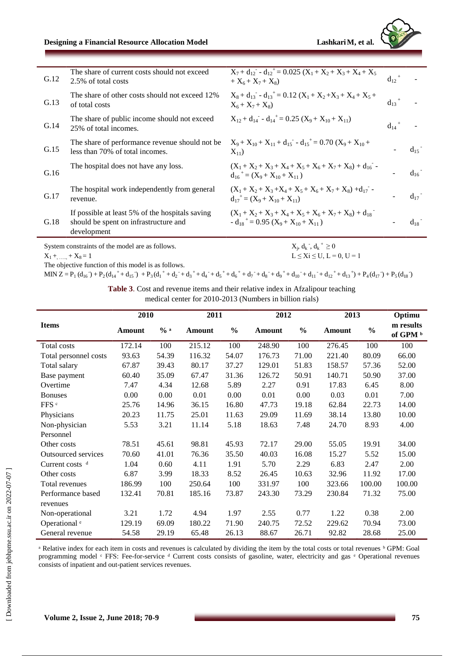# **Designing a Financial Resource Allocation Model LashkariM, et al.**

| G.12                    | The share of current costs should not exceed                                                            | $X_7 + d_{12} - d_{12}^+ = 0.025 (X_1 + X_2 + X_3 + X_4 + X_5)$                                                  | $d_{12}$ <sup>+</sup> |          |
|-------------------------|---------------------------------------------------------------------------------------------------------|------------------------------------------------------------------------------------------------------------------|-----------------------|----------|
|                         | 2.5% of total costs                                                                                     | $+X_6+X_7+X_8$                                                                                                   |                       |          |
| G.13                    | The share of other costs should not exceed 12%<br>of total costs                                        | $X_8 + d_{13} - d_{13}^+ = 0.12 (X_1 + X_2 + X_3 + X_4 + X_5 +$<br>$X_6 + X_7 + X_8$                             | $d_{13}$ <sup>+</sup> |          |
| G.14                    | The share of public income should not exceed<br>25% of total incomes.                                   | $X_{12} + d_{14} - d_{14}^+ = 0.25$ $(X_9 + X_{10} + X_{11})$                                                    | $d_{14}$ <sup>+</sup> |          |
| G.15                    | The share of performance revenue should not be<br>less than 70% of total incomes.                       | $X_9 + X_{10} + X_{11} + d_{15} - d_{15}^{\dagger} = 0.70 (X_9 + X_{10} +$<br>$X_{11}$                           |                       | $d_{15}$ |
| G.16                    | The hospital does not have any loss.                                                                    | $(X_1 + X_2 + X_3 + X_4 + X_5 + X_6 + X_7 + X_8) + d_{16}$<br>$d_{16}^+ = (X_0 + X_{10} + X_{11})$               |                       | $d_{16}$ |
| G.17                    | The hospital work independently from general<br>revenue.                                                | $(X_1 + X_2 + X_3 + X_4 + X_5 + X_6 + X_7 + X_8) + d_{17}$<br>$d_{17}^{\dagger} = (X_9 + X_{10} + X_{11})$       |                       | $d_{17}$ |
| G.18                    | If possible at least 5% of the hospitals saving<br>should be spent on infrastructure and<br>development | $(X_1 + X_2 + X_3 + X_4 + X_5 + X_6 + X_7 + X_8) + d_{18}$<br>$-d_{18}^{\dagger} = 0.95 (X_9 + X_{10} + X_{11})$ |                       | $d_{18}$ |
|                         | System constraints of the model are as follows.                                                         | $X_i, d_k, d_k^+ \ge 0$                                                                                          |                       |          |
| $X_1 + \dots + X_8 = 1$ |                                                                                                         | $L \leq Xi \leq U$ , $L = 0$ , $U = 1$                                                                           |                       |          |

The objective function of this model is as follows.

#### MIN Z = P<sub>1</sub>(d<sub>16</sub>) + P<sub>2</sub>(d<sub>14</sub><sup>+</sup> + d<sub>15</sub>) + P<sub>3</sub>(d<sub>1</sub><sup>+</sup> + d<sub>2</sub><sup>+</sup> + d<sub>3</sub><sup>+</sup> + d<sub>4</sub><sup>+</sup> + d<sub>5</sub><sup>+</sup> + d<sub>5</sub><sup>+</sup> + d<sub>3</sub><sup>+</sup> + d<sub>9</sub><sup>+</sup> + d<sub>10</sub><sup>+</sup> + d<sub>11</sub><sup>+</sup> + d<sub>12</sub><sup>+</sup> + d<sub>13</sub><sup>+</sup>) + P<sub>4</sub>(d<sub>17</sub>) + P<sub>5</sub>(d<sub>18</sub>)

**Table 3**. Cost and revenue items and their relative index in Afzalipour teaching

medical center for 2010-2013 (Numbers in billion rials)

|                            | 2010   |                 | 2011   |               | 2012   |       | 2013   |               | Optimu                |  |
|----------------------------|--------|-----------------|--------|---------------|--------|-------|--------|---------------|-----------------------|--|
| <b>Items</b>               | Amount | $\frac{0}{0}$ a | Amount | $\frac{0}{0}$ | Amount | $\%$  | Amount | $\frac{0}{0}$ | m results<br>of GPM b |  |
| Total costs                | 172.14 | 100             | 215.12 | 100           | 248.90 | 100   | 276.45 | 100           | 100                   |  |
| Total personnel costs      | 93.63  | 54.39           | 116.32 | 54.07         | 176.73 | 71.00 | 221.40 | 80.09         | 66.00                 |  |
| Total salary               | 67.87  | 39.43           | 80.17  | 37.27         | 129.01 | 51.83 | 158.57 | 57.36         | 52.00                 |  |
| Base payment               | 60.40  | 35.09           | 67.47  | 31.36         | 126.72 | 50.91 | 140.71 | 50.90         | 37.00                 |  |
| Overtime                   | 7.47   | 4.34            | 12.68  | 5.89          | 2.27   | 0.91  | 17.83  | 6.45          | 8.00                  |  |
| <b>Bonuses</b>             | 0.00   | 0.00            | 0.01   | 0.00          | 0.01   | 0.00  | 0.03   | 0.01          | 7.00                  |  |
| FFS c                      | 25.76  | 14.96           | 36.15  | 16.80         | 47.73  | 19.18 | 62.84  | 22.73         | 14.00                 |  |
| Physicians                 | 20.23  | 11.75           | 25.01  | 11.63         | 29.09  | 11.69 | 38.14  | 13.80         | 10.00                 |  |
| Non-physician              | 5.53   | 3.21            | 11.14  | 5.18          | 18.63  | 7.48  | 24.70  | 8.93          | 4.00                  |  |
| Personnel                  |        |                 |        |               |        |       |        |               |                       |  |
| Other costs                | 78.51  | 45.61           | 98.81  | 45.93         | 72.17  | 29.00 | 55.05  | 19.91         | 34.00                 |  |
| <b>Outsourced services</b> | 70.60  | 41.01           | 76.36  | 35.50         | 40.03  | 16.08 | 15.27  | 5.52          | 15.00                 |  |
| Current costs $d$          | 1.04   | 0.60            | 4.11   | 1.91          | 5.70   | 2.29  | 6.83   | 2.47          | 2.00                  |  |
| Other costs                | 6.87   | 3.99            | 18.33  | 8.52          | 26.45  | 10.63 | 32.96  | 11.92         | 17.00                 |  |
| Total revenues             | 186.99 | 100             | 250.64 | 100           | 331.97 | 100   | 323.66 | 100.00        | 100.00                |  |
| Performance based          | 132.41 | 70.81           | 185.16 | 73.87         | 243.30 | 73.29 | 230.84 | 71.32         | 75.00                 |  |
| revenues                   |        |                 |        |               |        |       |        |               |                       |  |
| Non-operational            | 3.21   | 1.72            | 4.94   | 1.97          | 2.55   | 0.77  | 1.22   | 0.38          | 2.00                  |  |
| Operational <sup>e</sup>   | 129.19 | 69.09           | 180.22 | 71.90         | 240.75 | 72.52 | 229.62 | 70.94         | 73.00                 |  |
| General revenue            | 54.58  | 29.19           | 65.48  | 26.13         | 88.67  | 26.71 | 92.82  | 28.68         | 25.00                 |  |

<sup>a</sup> Relative index for each item in costs and revenues is calculated by dividing the item by the total costs or total revenues <sup>b</sup> GPM: Goal programming model <sup>c</sup> FFS: Fee-for-service <sup>d</sup> Current costs consists of gasoline, water, electricity and gas <sup>e</sup> Operational revenues consists of inpatient and out-patient services revenues.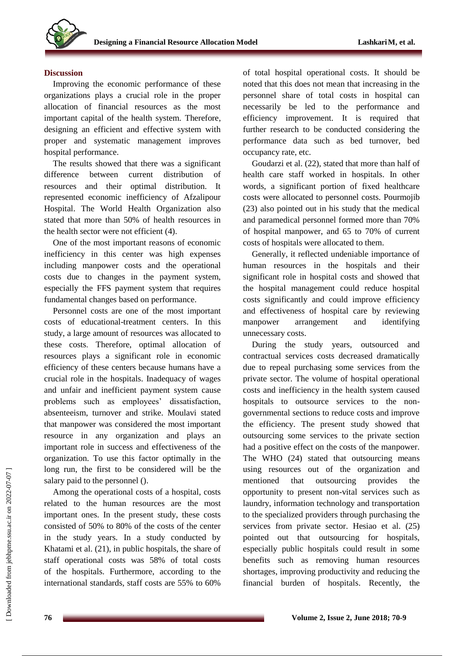

#### **Discussion**

Improving the economic performance of these organizations plays a crucial role in the proper allocation of financial resources as the most important capital of the health system. Therefore, designing an efficient and effective system with proper and systematic management improves hospital performance.

The results showed that there was a significant difference between current distribution of resources and their optimal distribution. It represented economic inefficiency of Afzalipour Hospital. The World Health Organization also stated that more than 50% of health resources in the health sector were not efficient (4).

One of the most important reasons of economic inefficiency in this center was high expenses including manpower costs and the operational costs due to changes in the payment system, especially the FFS payment system that requires fundamental changes based on performance.

Personnel costs are one of the most important costs of educational-treatment centers. In this study, a large amount of resources was allocated to these costs. Therefore, optimal allocation of resources plays a significant role in economic efficiency of these centers because humans have a crucial role in the hospitals. Inadequacy of wages and unfair and inefficient payment system cause problems such as employees' dissatisfaction, absenteeism, turnover and strike. Moulavi stated that manpower was considered the most important resource in any organization and plays an important role in success and effectiveness of the organization. To use this factor optimally in the long run, the first to be considered will be the salary paid to the personnel ().

Among the operational costs of a hospital, costs related to the human resources are the most important ones. In the present study, these costs consisted of 50% to 80% of the costs of the center in the study years. In a study conducted by Khatami et al. (21), in public hospitals, the share of staff operational costs was 58% of total costs of the hospitals. Furthermore, according to the international standards, staff costs are 55% to 60%

of total hospital operational costs. It should be noted that this does not mean that increasing in the personnel share of total costs in hospital can necessarily be led to the performance and efficiency improvement. It is required that further research to be conducted considering the performance data such as bed turnover, bed occupancy rate, etc.

Goudarzi et al. (22), stated that more than half of health care staff worked in hospitals. In other words, a significant portion of fixed healthcare costs were allocated to personnel costs. Pourmojib (23) also pointed out in his study that the medical and paramedical personnel formed more than 70% of hospital manpower, and 65 to 70% of current costs of hospitals were allocated to them.

Generally, it reflected undeniable importance of human resources in the hospitals and their significant role in hospital costs and showed that the hospital management could reduce hospital costs significantly and could improve efficiency and effectiveness of hospital care by reviewing manpower arrangement and identifying unnecessary costs.

During the study years, outsourced and contractual services costs decreased dramatically due to repeal purchasing some services from the private sector. The volume of hospital operational costs and inefficiency in the health system caused hospitals to outsource services to the nongovernmental sections to reduce costs and improve the efficiency. The present study showed that outsourcing some services to the private section had a positive effect on the costs of the manpower. The WHO (24) stated that outsourcing means using resources out of the organization and mentioned that outsourcing provides the opportunity to present non-vital services such as laundry, information technology and transportation to the specialized providers through purchasing the services from private sector. Hesiao et al. (25) pointed out that outsourcing for hospitals, especially public hospitals could result in some benefits such as removing human resources shortages, improving productivity and reducing the financial burden of hospitals. Recently, the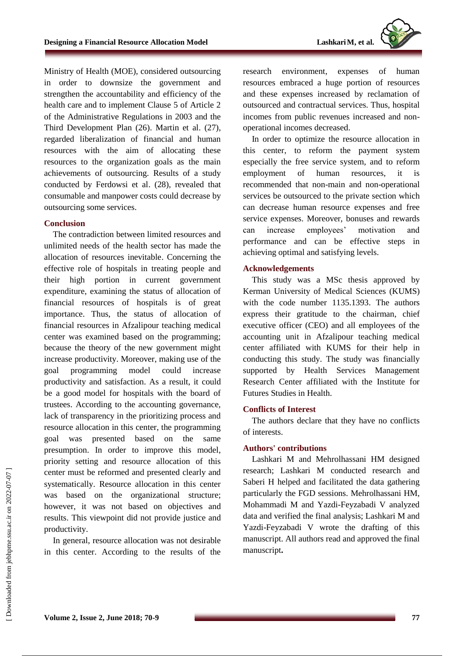Ministry of Health (MOE), considered outsourcing in order to downsize the government and strengthen the accountability and efficiency of the health care and to implement Clause 5 of Article 2 of the Administrative Regulations in 2003 and the Third Development Plan (26). Martin et al. (27), regarded liberalization of financial and human resources with the aim of allocating these resources to the organization goals as the main achievements of outsourcing. Results of a study conducted by Ferdowsi et al. (28), revealed that consumable and manpower costs could decrease by outsourcing some services.

#### **Conclusion**

The contradiction between limited resources and unlimited needs of the health sector has made the allocation of resources inevitable. Concerning the effective role of hospitals in treating people and their high portion in current government expenditure, examining the status of allocation of financial resources of hospitals is of great importance. Thus, the status of allocation of financial resources in Afzalipour teaching medical center was examined based on the programming; because the theory of the new government might increase productivity. Moreover, making use of the goal programming model could increase productivity and satisfaction. As a result, it could be a good model for hospitals with the board of trustees. According to the accounting governance, lack of transparency in the prioritizing process and resource allocation in this center, the programming goal was presented based on the same presumption. In order to improve this model, priority setting and resource allocation of this center must be reformed and presented clearly and systematically. Resource allocation in this center was based on the organizational structure; however, it was not based on objectives and results. This viewpoint did not provide justice and productivity.

In general, resource allocation was not desirable in this center. According to the results of the research environment, expenses of human resources embraced a huge portion of resources and these expenses increased by reclamation of outsourced and contractual services. Thus, hospital incomes from public revenues increased and nonoperational incomes decreased.

In order to optimize the resource allocation in this center, to reform the payment system especially the free service system, and to reform employment of human resources, it recommended that non-main and non-operational services be outsourced to the private section which can decrease human resource expenses and free service expenses. Moreover, bonuses and rewards can increase employees' motivation and performance and can be effective steps in achieving optimal and satisfying levels.

#### **Acknowledgements**

This study was a MSc thesis approved by Kerman University of Medical Sciences (KUMS) with the code number 1135.1393. The authors express their gratitude to the chairman, chief executive officer (CEO) and all employees of the accounting unit in Afzalipour teaching medical center affiliated with KUMS for their help in conducting this study. The study was financially supported by Health Services Management Research Center affiliated with the Institute for Futures Studies in Health.

## **Conflicts of Interest**

The authors declare that they have no conflicts of interests.

## **Authors' contributions**

Lashkari M and Mehrolhassani HM designed research; Lashkari M conducted research and Saberi H helped and facilitated the data gathering particularly the FGD sessions. Mehrolhassani HM, Mohammadi M and Yazdi-Feyzabadi V analyzed data and verified the final analysis; Lashkari M and Yazdi-Feyzabadi V wrote the drafting of this manuscript. All authors read and approved the final manuscript**.**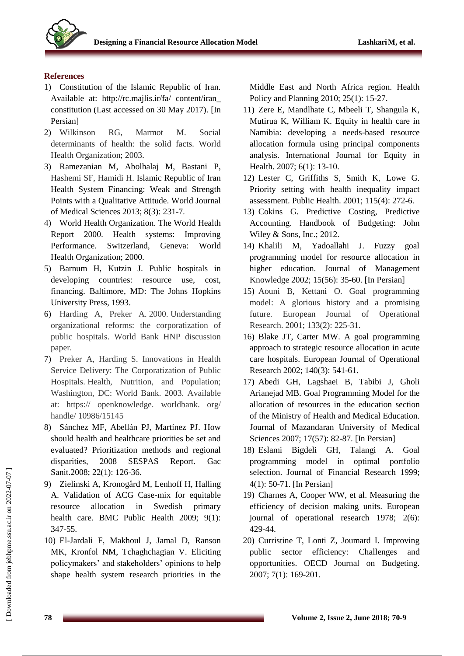



## **References**

- 1) Constitution of the Islamic Republic of Iran. Available at: http://rc.majlis.ir/fa/ content/iran\_ constitution (Last accessed on 30 May 2017). [In Persian]
- 2) Wilkinson RG, Marmot M. Social determinants of health: the solid facts. World Health Organization; 2003.
- 3) Ramezanian M, Abolhalaj M, Bastani P, Hashemi SF, Hamidi H. Islamic Republic of Iran Health System Financing: Weak and Strength Points with a Qualitative Attitude. World Journal of Medical Sciences 2013; 8(3): 231-7.
- 4) World Health Organization. The World Health Report 2000. Health systems: Improving Performance. Switzerland, Geneva: World Health Organization; 2000.
- 5) Barnum H, Kutzin J. Public hospitals in developing countries: resource use, cost, financing. Baltimore, MD: The Johns Hopkins University Press, 1993.
- 6) Harding A, Preker A. 2000. Understanding organizational reforms: the corporatization of public hospitals. World Bank HNP discussion paper.
- 7) Preker A, Harding S. Innovations in Health Service Delivery: The Corporatization of Public Hospitals. Health, Nutrition, and Population; Washington, DC: World Bank. 2003. Available at: https:// openknowledge. worldbank. org/ handle/ 10986/15145
- 8) Sánchez MF, Abellán PJ, Martínez PJ. How should health and healthcare priorities be set and evaluated? Prioritization methods and regional disparities, 2008 SESPAS Report. Gac Sanit.2008; 22(1): 126-36.
- 9) Zielinski A, Kronogård M, Lenhoff H, Halling A. Validation of ACG Case-mix for equitable resource allocation in Swedish primary health care. BMC Public Health 2009; 9(1): 347-55.
- 10) El-Jardali F, Makhoul J, Jamal D, Ranson MK, Kronfol NM, Tchaghchagian V. Eliciting policymakers' and stakeholders' opinions to help shape health system research priorities in the

Middle East and North Africa region. Health Policy and Planning 2010; 25(1): 15-27.

- 11) Zere E, Mandlhate C, Mbeeli T, Shangula K, Mutirua K, William K. Equity in health care in Namibia: developing a needs-based resource allocation formula using principal components analysis. International Journal for Equity in Health. 2007; 6(1): 13-10.
- 12) Lester C, Griffiths S, Smith K, Lowe G. Priority setting with health inequality impact assessment. Public Health. 2001; 115(4): 272-6.
- 13) Cokins G. Predictive Costing, Predictive Accounting. Handbook of Budgeting: John Wiley & Sons, Inc.; 2012.
- 14) Khalili M, Yadoallahi J. Fuzzy goal programming model for resource allocation in higher education. Journal of Management Knowledge 2002; 15(56): 35-60. [In Persian]
- 15) Aouni B, Kettani O. Goal programming model: A glorious history and a promising future. European Journal of Operational Research. 2001; 133(2): 225-31.
- 16) Blake JT, Carter MW. A goal programming approach to strategic resource allocation in acute care hospitals. European Journal of Operational Research 2002; 140(3): 541-61.
- 17) Abedi GH, Lagshaei B, Tabibi J, Gholi Arianejad MB. Goal Programming Model for the allocation of resources in the education section of the Ministry of Health and Medical Education. Journal of Mazandaran University of Medical Sciences 2007; 17(57): 82-87. [In Persian]
- 18) Eslami Bigdeli GH, Talangi A. Goal programming model in optimal portfolio selection. Journal of Financial Research 1999; 4(1): 50-71. [In Persian]
- 19) Charnes A, Cooper WW, et al. Measuring the efficiency of decision making units. European journal of operational research 1978; 2(6): 429-44.
- 20) Curristine T, Lonti Z, Joumard I. Improving public sector efficiency: Challenges and opportunities. OECD Journal on Budgeting. 2007; 7(1): 169-201.